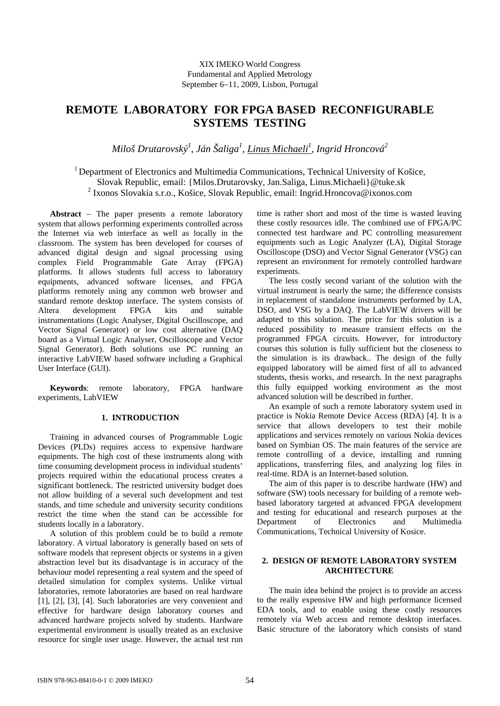# **REMOTE LABORATORY FOR FPGA BASED RECONFIGURABLE SYSTEMS TESTING**

*Miloš Drutarovský<sup>1</sup> , Ján Šaliga<sup>1</sup> , Linus Michaeli1 , Ingrid Hroncová2* 

<sup>1</sup> Department of Electronics and Multimedia Communications, Technical University of Košice, Slovak Republic, email: {Milos.Drutarovsky, Jan.Saliga, Linus.Michaeli}@tuke.sk 2 Ixonos Slovakia s.r.o., Košice, Slovak Republic, email: Ingrid.Hroncova@ixonos.com

**Abstract** − The paper presents a remote laboratory system that allows performing experiments controlled across the Internet via web interface as well as locally in the classroom. The system has been developed for courses of advanced digital design and signal processing using complex Field Programmable Gate Array (FPGA) platforms. It allows students full access to laboratory equipments, advanced software licenses, and FPGA platforms remotely using any common web browser and standard remote desktop interface. The system consists of Altera development FPGA kits and suitable instrumentations (Logic Analyser, Digital Oscilloscope, and Vector Signal Generator) or low cost alternative (DAQ board as a Virtual Logic Analyser, Oscilloscope and Vector Signal Generator). Both solutions use PC running an interactive LabVIEW based software including a Graphical User Interface (GUI).

**Keywords**: remote laboratory, FPGA hardware experiments, LabVIEW

# **1. INTRODUCTION**

Training in advanced courses of Programmable Logic Devices (PLDs) requires access to expensive hardware equipments. The high cost of these instruments along with time consuming development process in individual students' projects required within the educational process creates a significant bottleneck. The restricted university budget does not allow building of a several such development and test stands, and time schedule and university security conditions restrict the time when the stand can be accessible for students locally in a laboratory.

A solution of this problem could be to build a remote laboratory. A virtual laboratory is generally based on sets of software models that represent objects or systems in a given abstraction level but its disadvantage is in accuracy of the behaviour model representing a real system and the speed of detailed simulation for complex systems. Unlike virtual laboratories, remote laboratories are based on real hardware [1], [2], [3], [4]. Such laboratories are very convenient and effective for hardware design laboratory courses and advanced hardware projects solved by students. Hardware experimental environment is usually treated as an exclusive resource for single user usage. However, the actual test run

time is rather short and most of the time is wasted leaving these costly resources idle. The combined use of FPGA/PC connected test hardware and PC controlling measurement equipments such as Logic Analyzer (LA), Digital Storage Oscilloscope (DSO) and Vector Signal Generator (VSG) can represent an environment for remotely controlled hardware experiments.

The less costly second variant of the solution with the virtual instrument is nearly the same; the difference consists in replacement of standalone instruments performed by LA, DSO, and VSG by a DAQ. The LabVIEW drivers will be adapted to this solution. The price for this solution is a reduced possibility to measure transient effects on the programmed FPGA circuits. However, for introductory courses this solution is fully sufficient but the closeness to the simulation is its drawback.. The design of the fully equipped laboratory will be aimed first of all to advanced students, thesis works, and research. In the next paragraphs this fully equipped working environment as the most advanced solution will be described in further.

An example of such a remote laboratory system used in practice is Nokia Remote Device Access (RDA) [4]. It is a service that allows developers to test their mobile applications and services remotely on various Nokia devices based on Symbian OS. The main features of the service are remote controlling of a device, installing and running applications, transferring files, and analyzing log files in real-time. RDA is an Internet-based solution.

The aim of this paper is to describe hardware (HW) and software (SW) tools necessary for building of a remote webbased laboratory targeted at advanced FPGA development and testing for educational and research purposes at the Department of Electronics and Multimedia Communications, Technical University of Kosice.

## **2. DESIGN OF REMOTE LABORATORY SYSTEM ARCHITECTURE**

The main idea behind the project is to provide an access to the really expensive HW and high performance licensed EDA tools, and to enable using these costly resources remotely via Web access and remote desktop interfaces. Basic structure of the laboratory which consists of stand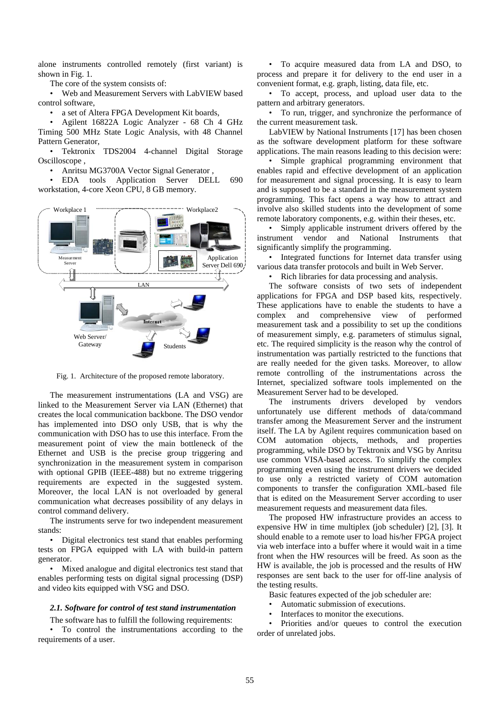alone instruments controlled remotely (first variant) is shown in Fig. 1.

The core of the system consists of:

• Web and Measurement Servers with LabVIEW based control software,

a set of Altera FPGA Development Kit boards,

• Agilent 16822A Logic Analyzer - 68 Ch 4 GHz Timing 500 MHz State Logic Analysis, with 48 Channel Pattern Generator,

• Tektronix TDS2004 4-channel Digital Storage Oscilloscope ,

• Anritsu MG3700A Vector Signal Generator ,

• EDA tools Application Server DELL 690 workstation, 4-core Xeon CPU, 8 GB memory.



Fig. 1. Architecture of the proposed remote laboratory.

The measurement instrumentations (LA and VSG) are linked to the Measurement Server via LAN (Ethernet) that creates the local communication backbone. The DSO vendor has implemented into DSO only USB, that is why the communication with DSO has to use this interface. From the measurement point of view the main bottleneck of the Ethernet and USB is the precise group triggering and synchronization in the measurement system in comparison with optional GPIB (IEEE-488) but no extreme triggering requirements are expected in the suggested system. Moreover, the local LAN is not overloaded by general communication what decreases possibility of any delays in control command delivery.

The instruments serve for two independent measurement stands:

• Digital electronics test stand that enables performing tests on FPGA equipped with LA with build-in pattern generator.

• Mixed analogue and digital electronics test stand that enables performing tests on digital signal processing (DSP) and video kits equipped with VSG and DSO.

#### *2.1. Software for control of test stand instrumentation*

The software has to fulfill the following requirements:

• To control the instrumentations according to the requirements of a user.

• To acquire measured data from LA and DSO, to process and prepare it for delivery to the end user in a convenient format, e.g. graph, listing, data file, etc.

• To accept, process, and upload user data to the pattern and arbitrary generators.

• To run, trigger, and synchronize the performance of the current measurement task.

LabVIEW by National Instruments [17] has been chosen as the software development platform for these software applications. The main reasons leading to this decision were:

• Simple graphical programming environment that enables rapid and effective development of an application for measurement and signal processing. It is easy to learn and is supposed to be a standard in the measurement system programming. This fact opens a way how to attract and involve also skilled students into the development of some remote laboratory components, e.g. within their theses, etc.

• Simply applicable instrument drivers offered by the instrument vendor and National Instruments that significantly simplify the programming.

• Integrated functions for Internet data transfer using various data transfer protocols and built in Web Server.

• Rich libraries for data processing and analysis.

The software consists of two sets of independent applications for FPGA and DSP based kits, respectively. These applications have to enable the students to have a complex and comprehensive view of performed measurement task and a possibility to set up the conditions of measurement simply, e.g. parameters of stimulus signal, etc. The required simplicity is the reason why the control of instrumentation was partially restricted to the functions that are really needed for the given tasks. Moreover, to allow remote controlling of the instrumentations across the Internet, specialized software tools implemented on the Measurement Server had to be developed.

The instruments drivers developed by vendors unfortunately use different methods of data/command transfer among the Measurement Server and the instrument itself. The LA by Agilent requires communication based on COM automation objects, methods, and properties programming, while DSO by Tektronix and VSG by Anritsu use common VISA-based access. To simplify the complex programming even using the instrument drivers we decided to use only a restricted variety of COM automation components to transfer the configuration XML-based file that is edited on the Measurement Server according to user measurement requests and measurement data files.

The proposed HW infrastructure provides an access to expensive HW in time multiplex (job scheduler) [2], [3]. It should enable to a remote user to load his/her FPGA project via web interface into a buffer where it would wait in a time front when the HW resources will be freed. As soon as the HW is available, the job is processed and the results of HW responses are sent back to the user for off-line analysis of the testing results.

Basic features expected of the job scheduler are:

- Automatic submission of executions.
- Interfaces to monitor the executions.

• Priorities and/or queues to control the execution order of unrelated jobs.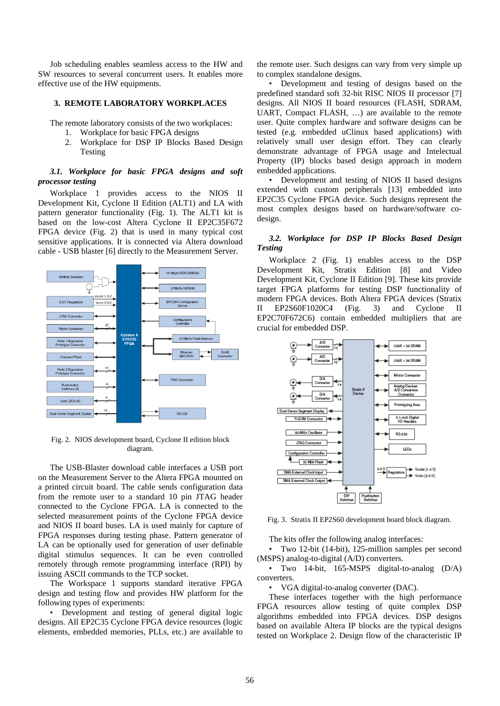Job scheduling enables seamless access to the HW and SW resources to several concurrent users. It enables more effective use of the HW equipments.

### **3. REMOTE LABORATORY WORKPLACES**

The remote laboratory consists of the two workplaces:

- 1. Workplace for basic FPGA designs
- 2. Workplace for DSP IP Blocks Based Design Testing

## *3.1. Workplace for basic FPGA designs and soft processor testing*

Workplace 1 provides access to the NIOS II Development Kit, Cyclone II Edition (ALT1) and LA with pattern generator functionality (Fig. 1). The ALT1 kit is based on the low-cost Altera Cyclone II EP2C35F672 FPGA device (Fig. 2) that is used in many typical cost sensitive applications. It is connected via Altera download cable - USB blaster [6] directly to the Measurement Server.



Fig. 2. NIOS development board, Cyclone II edition block diagram.

The USB-Blaster download cable interfaces a USB port on the Measurement Server to the Altera FPGA mounted on a printed circuit board. The cable sends configuration data from the remote user to a standard 10 pin JTAG header connected to the Cyclone FPGA. LA is connected to the selected measurement points of the Cyclone FPGA device and NIOS II board buses. LA is used mainly for capture of FPGA responses during testing phase. Pattern generator of LA can be optionally used for generation of user definable digital stimulus sequences. It can be even controlled remotely through remote programming interface (RPI) by issuing ASCII commands to the TCP socket.

The Workspace 1 supports standard iterative FPGA design and testing flow and provides HW platform for the following types of experiments:

• Development and testing of general digital logic designs. All EP2C35 Cyclone FPGA device resources (logic elements, embedded memories, PLLs, etc.) are available to the remote user. Such designs can vary from very simple up to complex standalone designs.

• Development and testing of designs based on the predefined standard soft 32-bit RISC NIOS II processor [7] designs. All NIOS II board resources (FLASH, SDRAM, UART, Compact FLASH, …) are available to the remote user. Quite complex hardware and software designs can be tested (e.g. embedded uClinux based applications) with relatively small user design effort. They can clearly demonstrate advantage of FPGA usage and Intelectual Property (IP) blocks based design approach in modern embedded applications.

• Development and testing of NIOS II based designs extended with custom peripherals [13] embedded into EP2C35 Cyclone FPGA device. Such designs represent the most complex designs based on hardware/software codesign.

## *3.2. Workplace for DSP IP Blocks Based Design Testing*

Workplace 2 (Fig. 1) enables access to the DSP Development Kit, Stratix Edition [8] and Video Development Kit, Cyclone II Edition [9]. These kits provide target FPGA platforms for testing DSP functionality of modern FPGA devices. Both Altera FPGA devices (Stratix II EP2S60F1020C4 (Fig. 3) and Cyclone II EP2C70F672C6) contain embedded multipliers that are crucial for embedded DSP.



Fig. 3. Stratix II EP2S60 development board block diagram.

The kits offer the following analog interfaces:

• Two 12-bit (14-bit), 125-million samples per second (MSPS) analog-to-digital (A/D) converters.

• Two 14-bit, 165-MSPS digital-to-analog (D/A) converters.

• VGA digital-to-analog converter (DAC).

These interfaces together with the high performance FPGA resources allow testing of quite complex DSP algorithms embedded into FPGA devices. DSP designs based on available Altera IP blocks are the typical designs tested on Workplace 2. Design flow of the characteristic IP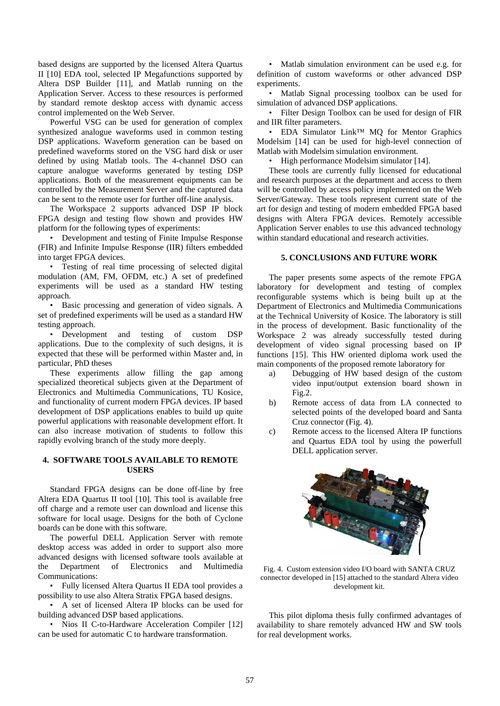based designs are supported by the licensed Altera Quartus II [10] EDA tool, selected IP Megafunctions supported by Altera DSP Builder [11], and Matlab running on the Application Server. Access to these resources is performed by standard remote desktop access with dynamic access control implemented on the Web Server.

Powerful VSG can be used for generation of complex synthesized analogue waveforms used in common testing DSP applications. Waveform generation can be based on predefined waveforms stored on the VSG hard disk or user defined by using Matlab tools. The 4-channel DSO can capture analogue waveforms generated by testing DSP applications. Both of the measurement equipments can be controlled by the Measurement Server and the captured data can be sent to the remote user for further off-line analysis.

The Workspace 2 supports advanced DSP IP block FPGA design and testing flow shown and provides HW platform for the following types of experiments:

• Development and testing of Finite Impulse Response (FIR) and Infinite Impulse Response (IIR) filters embedded into target FPGA devices.

• Testing of real time processing of selected digital modulation (AM, FM, OFDM, etc.) A set of predefined experiments will be used as a standard HW testing approach.

• Basic processing and generation of video signals. A set of predefined experiments will be used as a standard HW testing approach.

• Development and testing of custom DSP applications. Due to the complexity of such designs, it is expected that these will be performed within Master and, in particular, PhD theses

These experiments allow filling the gap among specialized theoretical subjects given at the Department of Electronics and Multimedia Communications, TU Kosice, and functionality of current modern FPGA devices. IP based development of DSP applications enables to build up quite powerful applications with reasonable development effort. It can also increase motivation of students to follow this rapidly evolving branch of the study more deeply.

### **4. SOFTWARE TOOLS AVAILABLE TO REMOTE USERS**

Standard FPGA designs can be done off-line by free Altera EDA Quartus II tool [10]. This tool is available free off charge and a remote user can download and license this software for local usage. Designs for the both of Cyclone boards can be done with this software.

The powerful DELL Application Server with remote desktop access was added in order to support also more advanced designs with licensed software tools available at the Department of Electronics and Multimedia Communications:

• Fully licensed Altera Quartus II EDA tool provides a possibility to use also Altera Stratix FPGA based designs.

• A set of licensed Altera IP blocks can be used for building advanced DSP based applications.

• Nios II C-to-Hardware Acceleration Compiler [12] can be used for automatic C to hardware transformation.

• Matlab simulation environment can be used e.g. for definition of custom waveforms or other advanced DSP experiments.

• Matlab Signal processing toolbox can be used for simulation of advanced DSP applications.

• Filter Design Toolbox can be used for design of FIR and IIR filter parameters.

• EDA Simulator Link™ MQ for Mentor Graphics Modelsim [14] can be used for high-level connection of Matlab with Modelsim simulation environment.

• High performance Modelsim simulator [14].

These tools are currently fully licensed for educational and research purposes at the department and access to them will be controlled by access policy implemented on the Web Server/Gateway. These tools represent current state of the art for design and testing of modern embedded FPGA based designs with Altera FPGA devices. Remotely accessible Application Server enables to use this advanced technology within standard educational and research activities.

## **5. CONCLUSIONS AND FUTURE WORK**

The paper presents some aspects of the remote FPGA laboratory for development and testing of complex reconfigurable systems which is being built up at the Department of Electronics and Multimedia Communications at the Technical University of Kosice. The laboratory is still in the process of development. Basic functionality of the Workspace 2 was already successfully tested during development of video signal processing based on IP functions [15]. This HW oriented diploma work used the main components of the proposed remote laboratory for

- a) Debugging of HW based design of the custom video input/output extension board shown in Fig.2.
- b) Remote access of data from LA connected to selected points of the developed board and Santa Cruz connector (Fig. 4).
- c) Remote access to the licensed Altera IP functions and Quartus EDA tool by using the powerfull DELL application server.



Fig. 4. Custom extension video I/O board with SANTA CRUZ connector developed in [15] attached to the standard Altera video development kit.

This pilot diploma thesis fully confirmed advantages of availability to share remotely advanced HW and SW tools for real development works.